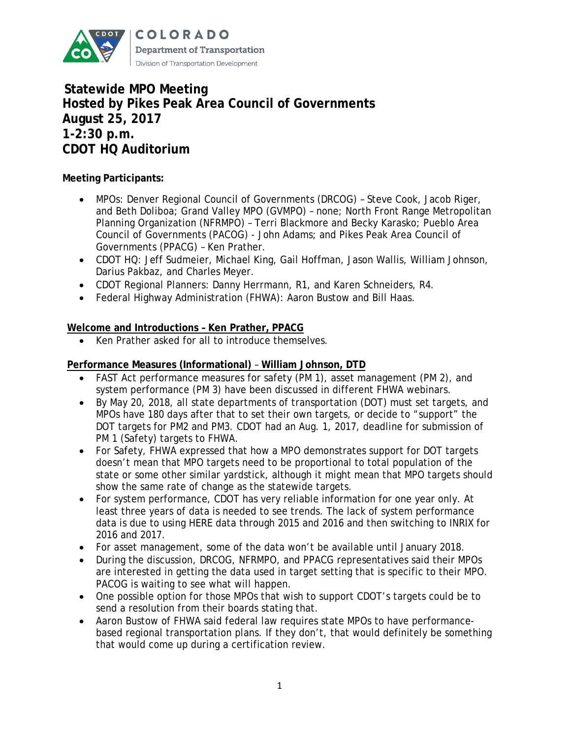

**Statewide MPO Meeting Hosted by Pikes Peak Area Council of Governments August 25, 2017 1-2:30 p.m. CDOT HQ Auditorium**

# **Meeting Participants:**

- MPOs: Denver Regional Council of Governments (DRCOG) Steve Cook, Jacob Riger, and Beth Doliboa; Grand Valley MPO (GVMPO) – none; North Front Range Metropolitan Planning Organization (NFRMPO) – Terri Blackmore and Becky Karasko; Pueblo Area Council of Governments (PACOG) - John Adams; and Pikes Peak Area Council of Governments (PPACG) – Ken Prather.
- CDOT HQ: Jeff Sudmeier, Michael King, Gail Hoffman, Jason Wallis, William Johnson, Darius Pakbaz, and Charles Meyer.
- CDOT Regional Planners: Danny Herrmann, R1, and Karen Schneiders, R4.
- Federal Highway Administration (FHWA): Aaron Bustow and Bill Haas.

# **Welcome and Introductions – Ken Prather, PPACG**

Ken Prather asked for all to introduce themselves.

### **Performance Measures (Informational)** – **William Johnson, DTD**

- FAST Act performance measures for safety (PM 1), asset management (PM 2), and system performance (PM 3) have been discussed in different FHWA webinars.
- By May 20, 2018, all state departments of transportation (DOT) must set targets, and MPOs have 180 days after that to set their own targets, or decide to "support" the DOT targets for PM2 and PM3. CDOT had an Aug. 1, 2017, deadline for submission of PM 1 (Safety) targets to FHWA.
- For Safety, FHWA expressed that how a MPO demonstrates support for DOT targets doesn't mean that MPO targets need to be proportional to total population of the state or some other similar yardstick, although it might mean that MPO targets should show the same rate of change as the statewide targets.
- For system performance, CDOT has very reliable information for one year only. At least three years of data is needed to see trends. The lack of system performance data is due to using HERE data through 2015 and 2016 and then switching to INRIX for 2016 and 2017.
- For asset management, some of the data won't be available until January 2018.
- During the discussion, DRCOG, NFRMPO, and PPACG representatives said their MPOs are interested in getting the data used in target setting that is specific to their MPO. PACOG is waiting to see what will happen.
- One possible option for those MPOs that wish to support CDOT's targets could be to send a resolution from their boards stating that.
- Aaron Bustow of FHWA said federal law requires state MPOs to have performancebased regional transportation plans. If they don't, that would definitely be something that would come up during a certification review.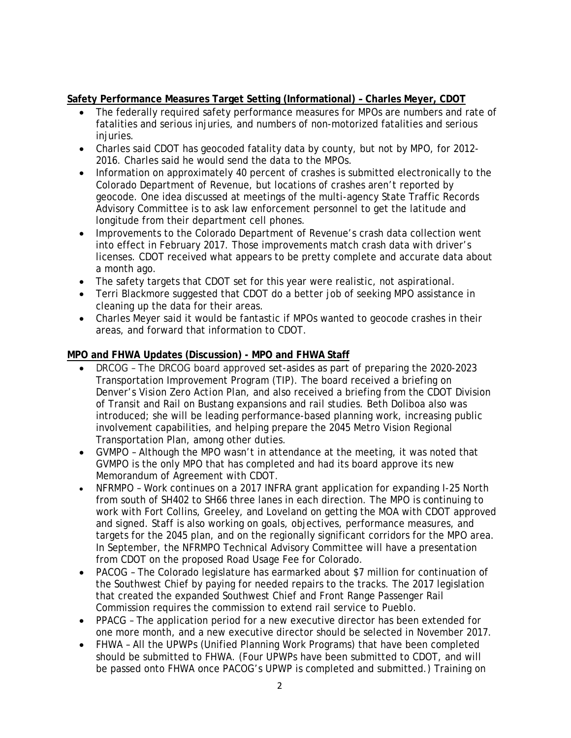# **Safety Performance Measures Target Setting (Informational) – Charles Meyer, CDOT**

- The federally required safety performance measures for MPOs are numbers and rate of fatalities and serious injuries, and numbers of non-motorized fatalities and serious injuries.
- Charles said CDOT has geocoded fatality data by county, but not by MPO, for 2012- 2016. Charles said he would send the data to the MPOs.
- Information on approximately 40 percent of crashes is submitted electronically to the Colorado Department of Revenue, but locations of crashes aren't reported by geocode. One idea discussed at meetings of the multi-agency State Traffic Records Advisory Committee is to ask law enforcement personnel to get the latitude and longitude from their department cell phones.
- Improvements to the Colorado Department of Revenue's crash data collection went into effect in February 2017. Those improvements match crash data with driver's licenses. CDOT received what appears to be pretty complete and accurate data about a month ago.
- The safety targets that CDOT set for this year were realistic, not aspirational.
- Terri Blackmore suggested that CDOT do a better job of seeking MPO assistance in cleaning up the data for their areas.
- Charles Meyer said it would be fantastic if MPOs wanted to geocode crashes in their areas, and forward that information to CDOT.

# **MPO and FHWA Updates (Discussion) - MPO and FHWA Staff**

- DRCOG The DRCOG board approved set-asides as part of preparing the 2020-2023 Transportation Improvement Program (TIP). The board received a briefing on Denver's *Vision Zero Action Plan*, and also received a briefing from the CDOT Division of Transit and Rail on Bustang expansions and rail studies. Beth Doliboa also was introduced; she will be leading performance-based planning work, increasing public involvement capabilities, and helping prepare the 2045 Metro Vision Regional Transportation Plan, among other duties.
- GVMPO Although the MPO wasn't in attendance at the meeting, it was noted that GVMPO is the only MPO that has completed and had its board approve its new Memorandum of Agreement with CDOT.
- NFRMPO Work continues on a 2017 INFRA grant application for expanding I-25 North from south of SH402 to SH66 three lanes in each direction. The MPO is continuing to work with Fort Collins, Greeley, and Loveland on getting the MOA with CDOT approved and signed. Staff is also working on goals, objectives, performance measures, and targets for the 2045 plan, and on the regionally significant corridors for the MPO area. In September, the NFRMPO Technical Advisory Committee will have a presentation from CDOT on the proposed Road Usage Fee for Colorado.
- PACOG The Colorado legislature has earmarked about \$7 million for continuation of the Southwest Chief by paying for needed repairs to the tracks. The 2017 legislation that created the expanded Southwest Chief and Front Range Passenger Rail Commission requires the commission to extend rail service to Pueblo.
- PPACG The application period for a new executive director has been extended for one more month, and a new executive director should be selected in November 2017.
- FHWA All the UPWPs (Unified Planning Work Programs) that have been completed should be submitted to FHWA. (Four UPWPs have been submitted to CDOT, and will be passed onto FHWA once PACOG's UPWP is completed and submitted.) Training on